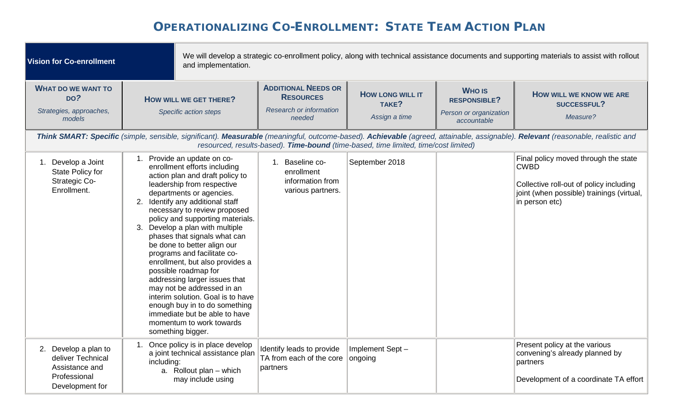| <b>Vision for Co-enrollment</b>                                                                | and implementation.                                                                                                                                                                                                                                                                                                                                                                                                                                                                                                                                                                                                                                                                 |                                                                                                                                                                            |                                                   |                                                                               | We will develop a strategic co-enrollment policy, along with technical assistance documents and supporting materials to assist with rollout                                                                                                  |
|------------------------------------------------------------------------------------------------|-------------------------------------------------------------------------------------------------------------------------------------------------------------------------------------------------------------------------------------------------------------------------------------------------------------------------------------------------------------------------------------------------------------------------------------------------------------------------------------------------------------------------------------------------------------------------------------------------------------------------------------------------------------------------------------|----------------------------------------------------------------------------------------------------------------------------------------------------------------------------|---------------------------------------------------|-------------------------------------------------------------------------------|----------------------------------------------------------------------------------------------------------------------------------------------------------------------------------------------------------------------------------------------|
| <b>WHAT DO WE WANT TO</b><br>DO?<br>Strategies, approaches,<br>models                          | HOW WILL WE GET THERE?<br>Specific action steps                                                                                                                                                                                                                                                                                                                                                                                                                                                                                                                                                                                                                                     | <b>ADDITIONAL NEEDS OR</b><br><b>RESOURCES</b><br>Research or information<br>needed<br>resourced, results-based). Time-bound (time-based, time limited, time/cost limited) | <b>HOW LONG WILL IT</b><br>TAKE?<br>Assign a time | <b>WHO IS</b><br><b>RESPONSIBLE?</b><br>Person or organization<br>accountable | <b>HOW WILL WE KNOW WE ARE</b><br>SUCCESSFUL?<br>Measure?<br>Think SMART: Specific (simple, sensible, significant). Measurable (meaningful, outcome-based). Achievable (agreed, attainable, assignable). Relevant (reasonable, realistic and |
| 1. Develop a Joint<br>State Policy for<br><b>Strategic Co-</b><br>Enrollment.                  | 1. Provide an update on co-<br>enrollment efforts including<br>action plan and draft policy to<br>leadership from respective<br>departments or agencies.<br>2. Identify any additional staff<br>necessary to review proposed<br>policy and supporting materials.<br>3. Develop a plan with multiple<br>phases that signals what can<br>be done to better align our<br>programs and facilitate co-<br>enrollment, but also provides a<br>possible roadmap for<br>addressing larger issues that<br>may not be addressed in an<br>interim solution. Goal is to have<br>enough buy in to do something<br>immediate but be able to have<br>momentum to work towards<br>something bigger. | 1. Baseline co-<br>enrollment<br>information from<br>various partners.                                                                                                     | September 2018                                    |                                                                               | Final policy moved through the state<br><b>CWBD</b><br>Collective roll-out of policy including<br>joint (when possible) trainings (virtual,<br>in person etc)                                                                                |
| 2. Develop a plan to<br>deliver Technical<br>Assistance and<br>Professional<br>Development for | Once policy is in place develop<br>a joint technical assistance plan<br>including:<br>a. Rollout plan - which<br>may include using                                                                                                                                                                                                                                                                                                                                                                                                                                                                                                                                                  | Identify leads to provide<br>TA from each of the core<br>partners                                                                                                          | Implement Sept-<br>ongoing                        |                                                                               | Present policy at the various<br>convening's already planned by<br>partners<br>Development of a coordinate TA effort                                                                                                                         |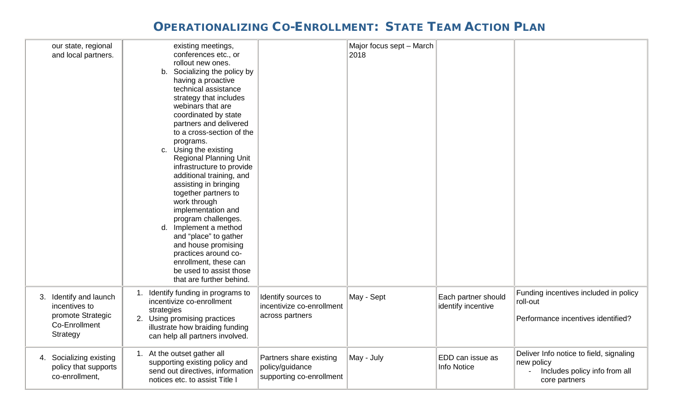| our state, regional<br>and local partners.                                                | existing meetings,<br>conferences etc., or<br>rollout new ones.<br>b. Socializing the policy by<br>having a proactive<br>technical assistance<br>strategy that includes<br>webinars that are<br>coordinated by state<br>partners and delivered<br>to a cross-section of the<br>programs.<br>c. Using the existing<br><b>Regional Planning Unit</b><br>infrastructure to provide<br>additional training, and<br>assisting in bringing<br>together partners to<br>work through<br>implementation and<br>program challenges.<br>Implement a method<br>d.<br>and "place" to gather<br>and house promising<br>practices around co-<br>enrollment, these can<br>be used to assist those<br>that are further behind. |                                                                        | Major focus sept - March<br>2018 |                                           |                                                                                                         |
|-------------------------------------------------------------------------------------------|---------------------------------------------------------------------------------------------------------------------------------------------------------------------------------------------------------------------------------------------------------------------------------------------------------------------------------------------------------------------------------------------------------------------------------------------------------------------------------------------------------------------------------------------------------------------------------------------------------------------------------------------------------------------------------------------------------------|------------------------------------------------------------------------|----------------------------------|-------------------------------------------|---------------------------------------------------------------------------------------------------------|
| 3. Identify and launch<br>incentives to<br>promote Strategic<br>Co-Enrollment<br>Strategy | Identify funding in programs to<br>1.<br>incentivize co-enrollment<br>strategies<br>2. Using promising practices<br>illustrate how braiding funding<br>can help all partners involved.                                                                                                                                                                                                                                                                                                                                                                                                                                                                                                                        | Identify sources to<br>incentivize co-enrollment<br>across partners    | May - Sept                       | Each partner should<br>identify incentive | Funding incentives included in policy<br>roll-out<br>Performance incentives identified?                 |
| 4. Socializing existing<br>policy that supports<br>co-enrollment,                         | 1. At the outset gather all<br>supporting existing policy and<br>send out directives, information<br>notices etc. to assist Title I                                                                                                                                                                                                                                                                                                                                                                                                                                                                                                                                                                           | Partners share existing<br>policy/guidance<br>supporting co-enrollment | May - July                       | EDD can issue as<br>Info Notice           | Deliver Info notice to field, signaling<br>new policy<br>Includes policy info from all<br>core partners |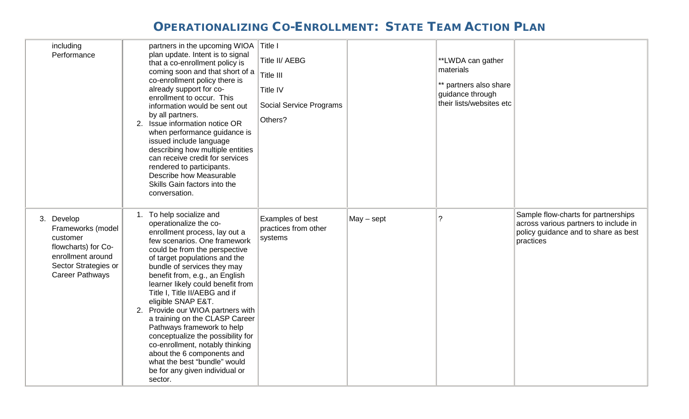| including<br>Performance                                                                                                                  | partners in the upcoming WIOA<br>plan update. Intent is to signal<br>that a co-enrollment policy is<br>coming soon and that short of a<br>co-enrollment policy there is<br>already support for co-<br>enrollment to occur. This<br>information would be sent out<br>by all partners.<br>2. Issue information notice OR<br>when performance guidance is<br>issued include language<br>describing how multiple entities<br>can receive credit for services<br>rendered to participants.<br>Describe how Measurable<br>Skills Gain factors into the<br>conversation.                                                                          | Title I<br>Title II/ AEBG<br>Title III<br>Title IV<br><b>Social Service Programs</b><br>Others? |              | **LWDA can gather<br>materials<br>** partners also share<br>guidance through<br>their lists/websites etc |                                                                                                                                   |
|-------------------------------------------------------------------------------------------------------------------------------------------|--------------------------------------------------------------------------------------------------------------------------------------------------------------------------------------------------------------------------------------------------------------------------------------------------------------------------------------------------------------------------------------------------------------------------------------------------------------------------------------------------------------------------------------------------------------------------------------------------------------------------------------------|-------------------------------------------------------------------------------------------------|--------------|----------------------------------------------------------------------------------------------------------|-----------------------------------------------------------------------------------------------------------------------------------|
| 3. Develop<br>Frameworks (model<br>customer<br>flowcharts) for Co-<br>enrollment around<br>Sector Strategies or<br><b>Career Pathways</b> | 1. To help socialize and<br>operationalize the co-<br>enrollment process, lay out a<br>few scenarios. One framework<br>could be from the perspective<br>of target populations and the<br>bundle of services they may<br>benefit from, e.g., an English<br>learner likely could benefit from<br>Title I, Title II/AEBG and if<br>eligible SNAP E&T.<br>2. Provide our WIOA partners with<br>a training on the CLASP Career<br>Pathways framework to help<br>conceptualize the possibility for<br>co-enrollment, notably thinking<br>about the 6 components and<br>what the best "bundle" would<br>be for any given individual or<br>sector. | Examples of best<br>practices from other<br>systems                                             | $May - sept$ | $\overline{?}$                                                                                           | Sample flow-charts for partnerships<br>across various partners to include in<br>policy guidance and to share as best<br>practices |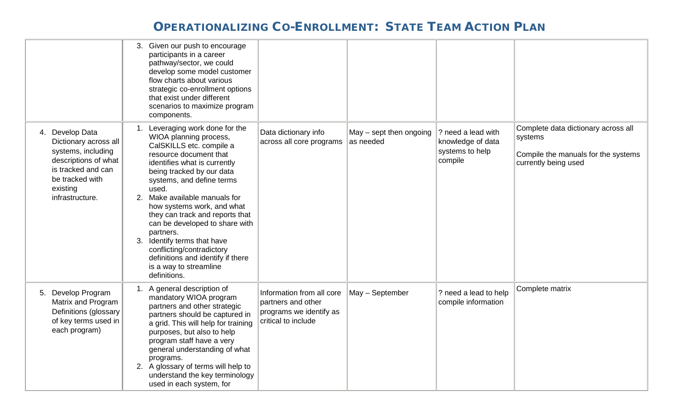|                                                                                                                                                                | 3. Given our push to encourage<br>participants in a career<br>pathway/sector, we could<br>develop some model customer<br>flow charts about various<br>strategic co-enrollment options<br>that exist under different<br>scenarios to maximize program<br>components.                                                                                                                                                                                                                                            |                                                                                                   |                                        |                                                                       |                                                                                                               |
|----------------------------------------------------------------------------------------------------------------------------------------------------------------|----------------------------------------------------------------------------------------------------------------------------------------------------------------------------------------------------------------------------------------------------------------------------------------------------------------------------------------------------------------------------------------------------------------------------------------------------------------------------------------------------------------|---------------------------------------------------------------------------------------------------|----------------------------------------|-----------------------------------------------------------------------|---------------------------------------------------------------------------------------------------------------|
| 4. Develop Data<br>Dictionary across all<br>systems, including<br>descriptions of what<br>is tracked and can<br>be tracked with<br>existing<br>infrastructure. | Leveraging work done for the<br>WIOA planning process,<br>CalSKILLS etc. compile a<br>resource document that<br>identifies what is currently<br>being tracked by our data<br>systems, and define terms<br>used.<br>2. Make available manuals for<br>how systems work, and what<br>they can track and reports that<br>can be developed to share with<br>partners.<br>Identify terms that have<br>3.<br>conflicting/contradictory<br>definitions and identify if there<br>is a way to streamline<br>definitions. | Data dictionary info<br>across all core programs                                                  | $May - sept$ then ongoing<br>as needed | ? need a lead with<br>knowledge of data<br>systems to help<br>compile | Complete data dictionary across all<br>systems<br>Compile the manuals for the systems<br>currently being used |
| Develop Program<br>5.<br>Matrix and Program<br>Definitions (glossary<br>of key terms used in<br>each program)                                                  | 1. A general description of<br>mandatory WIOA program<br>partners and other strategic<br>partners should be captured in<br>a grid. This will help for training<br>purposes, but also to help<br>program staff have a very<br>general understanding of what<br>programs.<br>2. A glossary of terms will help to<br>understand the key terminology<br>used in each system, for                                                                                                                                   | Information from all core<br>partners and other<br>programs we identify as<br>critical to include | May - September                        | ? need a lead to help<br>compile information                          | Complete matrix                                                                                               |